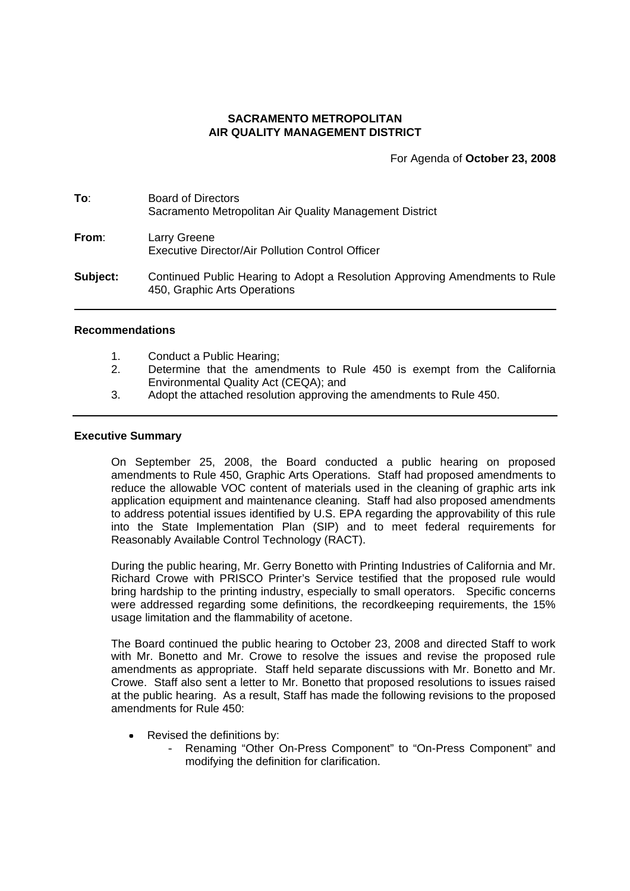## **SACRAMENTO METROPOLITAN AIR QUALITY MANAGEMENT DISTRICT**

For Agenda of **October 23, 2008**

| To:      | <b>Board of Directors</b><br>Sacramento Metropolitan Air Quality Management District                        |
|----------|-------------------------------------------------------------------------------------------------------------|
| From:    | Larry Greene<br>Executive Director/Air Pollution Control Officer                                            |
| Subject: | Continued Public Hearing to Adopt a Resolution Approving Amendments to Rule<br>450, Graphic Arts Operations |

#### **Recommendations**

- 1. Conduct a Public Hearing;
- 2. Determine that the amendments to Rule 450 is exempt from the California Environmental Quality Act (CEQA); and
- 3. Adopt the attached resolution approving the amendments to Rule 450.

#### **Executive Summary**

On September 25, 2008, the Board conducted a public hearing on proposed amendments to Rule 450, Graphic Arts Operations. Staff had proposed amendments to reduce the allowable VOC content of materials used in the cleaning of graphic arts ink application equipment and maintenance cleaning. Staff had also proposed amendments to address potential issues identified by U.S. EPA regarding the approvability of this rule into the State Implementation Plan (SIP) and to meet federal requirements for Reasonably Available Control Technology (RACT).

During the public hearing, Mr. Gerry Bonetto with Printing Industries of California and Mr. Richard Crowe with PRISCO Printer's Service testified that the proposed rule would bring hardship to the printing industry, especially to small operators. Specific concerns were addressed regarding some definitions, the recordkeeping requirements, the 15% usage limitation and the flammability of acetone.

The Board continued the public hearing to October 23, 2008 and directed Staff to work with Mr. Bonetto and Mr. Crowe to resolve the issues and revise the proposed rule amendments as appropriate. Staff held separate discussions with Mr. Bonetto and Mr. Crowe. Staff also sent a letter to Mr. Bonetto that proposed resolutions to issues raised at the public hearing. As a result, Staff has made the following revisions to the proposed amendments for Rule 450:

- Revised the definitions by:
	- Renaming "Other On-Press Component" to "On-Press Component" and modifying the definition for clarification.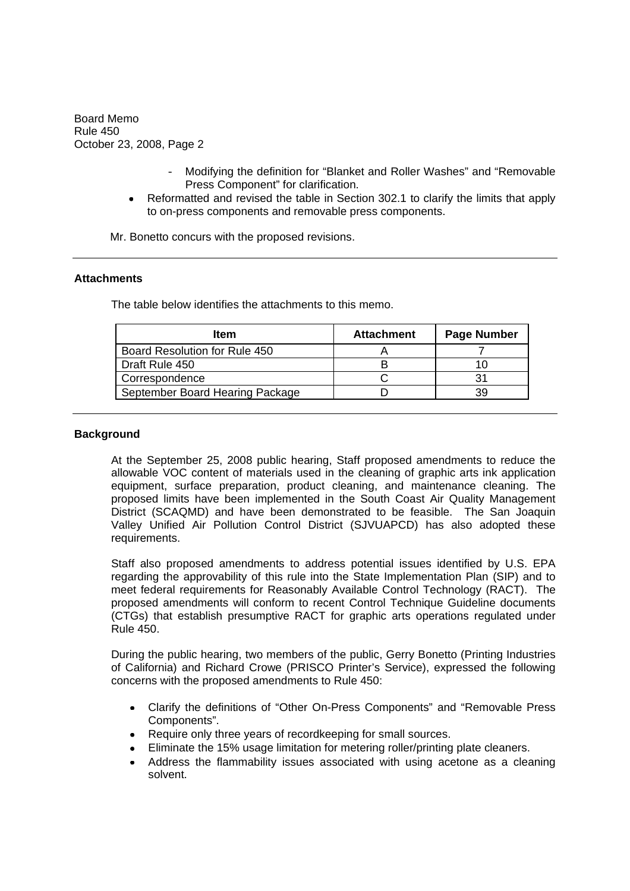- Modifying the definition for "Blanket and Roller Washes" and "Removable Press Component" for clarification.
- Reformatted and revised the table in Section 302.1 to clarify the limits that apply to on-press components and removable press components.

Mr. Bonetto concurs with the proposed revisions.

#### **Attachments**

The table below identifies the attachments to this memo.

| <b>Item</b>                     | <b>Attachment</b> | <b>Page Number</b> |
|---------------------------------|-------------------|--------------------|
| Board Resolution for Rule 450   |                   |                    |
| Draft Rule 450                  |                   |                    |
| Correspondence                  |                   |                    |
| September Board Hearing Package |                   | 39                 |

## **Background**

At the September 25, 2008 public hearing, Staff proposed amendments to reduce the allowable VOC content of materials used in the cleaning of graphic arts ink application equipment, surface preparation, product cleaning, and maintenance cleaning. The proposed limits have been implemented in the South Coast Air Quality Management District (SCAQMD) and have been demonstrated to be feasible. The San Joaquin Valley Unified Air Pollution Control District (SJVUAPCD) has also adopted these requirements.

Staff also proposed amendments to address potential issues identified by U.S. EPA regarding the approvability of this rule into the State Implementation Plan (SIP) and to meet federal requirements for Reasonably Available Control Technology (RACT). The proposed amendments will conform to recent Control Technique Guideline documents (CTGs) that establish presumptive RACT for graphic arts operations regulated under Rule 450.

During the public hearing, two members of the public, Gerry Bonetto (Printing Industries of California) and Richard Crowe (PRISCO Printer's Service), expressed the following concerns with the proposed amendments to Rule 450:

- Clarify the definitions of "Other On-Press Components" and "Removable Press  $\bullet$ Components".
- Require only three years of recordkeeping for small sources.
- $\bullet$ Eliminate the 15% usage limitation for metering roller/printing plate cleaners.
- Address the flammability issues associated with using acetone as a cleaning  $\bullet$ solvent.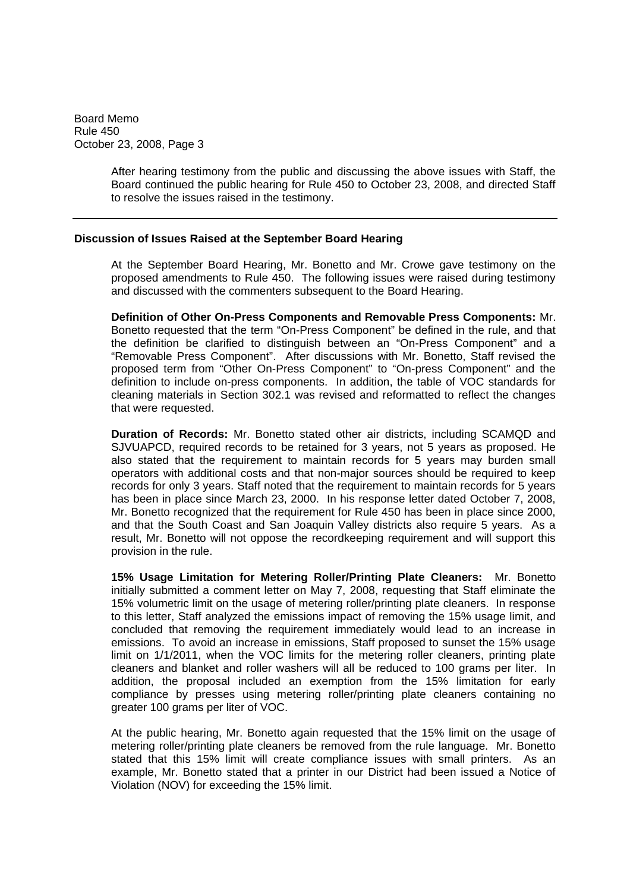> After hearing testimony from the public and discussing the above issues with Staff, the Board continued the public hearing for Rule 450 to October 23, 2008, and directed Staff to resolve the issues raised in the testimony.

#### **Discussion of Issues Raised at the September Board Hearing**

At the September Board Hearing, Mr. Bonetto and Mr. Crowe gave testimony on the proposed amendments to Rule 450. The following issues were raised during testimony and discussed with the commenters subsequent to the Board Hearing.

**Definition of Other On-Press Components and Removable Press Components:** Mr. Bonetto requested that the term "On-Press Component" be defined in the rule, and that the definition be clarified to distinguish between an "On-Press Component" and a "Removable Press Component". After discussions with Mr. Bonetto, Staff revised the proposed term from "Other On-Press Component" to "On-press Component" and the definition to include on-press components. In addition, the table of VOC standards for cleaning materials in Section 302.1 was revised and reformatted to reflect the changes that were requested.

**Duration of Records:** Mr. Bonetto stated other air districts, including SCAMQD and SJVUAPCD, required records to be retained for 3 years, not 5 years as proposed. He also stated that the requirement to maintain records for 5 years may burden small operators with additional costs and that non-major sources should be required to keep records for only 3 years. Staff noted that the requirement to maintain records for 5 years has been in place since March 23, 2000. In his response letter dated October 7, 2008, Mr. Bonetto recognized that the requirement for Rule 450 has been in place since 2000, and that the South Coast and San Joaquin Valley districts also require 5 years. As a result, Mr. Bonetto will not oppose the recordkeeping requirement and will support this provision in the rule.

**15% Usage Limitation for Metering Roller/Printing Plate Cleaners:** Mr. Bonetto initially submitted a comment letter on May 7, 2008, requesting that Staff eliminate the 15% volumetric limit on the usage of metering roller/printing plate cleaners. In response to this letter, Staff analyzed the emissions impact of removing the 15% usage limit, and concluded that removing the requirement immediately would lead to an increase in emissions. To avoid an increase in emissions, Staff proposed to sunset the 15% usage limit on 1/1/2011, when the VOC limits for the metering roller cleaners, printing plate cleaners and blanket and roller washers will all be reduced to 100 grams per liter. In addition, the proposal included an exemption from the 15% limitation for early compliance by presses using metering roller/printing plate cleaners containing no greater 100 grams per liter of VOC.

At the public hearing, Mr. Bonetto again requested that the 15% limit on the usage of metering roller/printing plate cleaners be removed from the rule language. Mr. Bonetto stated that this 15% limit will create compliance issues with small printers. As an example, Mr. Bonetto stated that a printer in our District had been issued a Notice of Violation (NOV) for exceeding the 15% limit.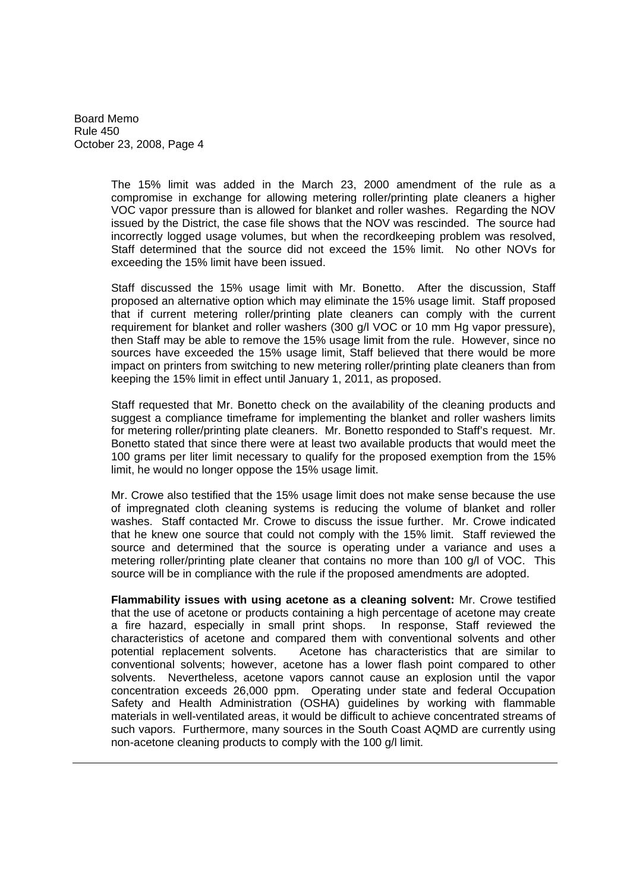> The 15% limit was added in the March 23, 2000 amendment of the rule as a compromise in exchange for allowing metering roller/printing plate cleaners a higher VOC vapor pressure than is allowed for blanket and roller washes. Regarding the NOV issued by the District, the case file shows that the NOV was rescinded. The source had incorrectly logged usage volumes, but when the recordkeeping problem was resolved, Staff determined that the source did not exceed the 15% limit. No other NOVs for exceeding the 15% limit have been issued.

> Staff discussed the 15% usage limit with Mr. Bonetto. After the discussion, Staff proposed an alternative option which may eliminate the 15% usage limit. Staff proposed that if current metering roller/printing plate cleaners can comply with the current requirement for blanket and roller washers (300 g/l VOC or 10 mm Hg vapor pressure), then Staff may be able to remove the 15% usage limit from the rule. However, since no sources have exceeded the 15% usage limit, Staff believed that there would be more impact on printers from switching to new metering roller/printing plate cleaners than from keeping the 15% limit in effect until January 1, 2011, as proposed.

> Staff requested that Mr. Bonetto check on the availability of the cleaning products and suggest a compliance timeframe for implementing the blanket and roller washers limits for metering roller/printing plate cleaners. Mr. Bonetto responded to Staff's request. Mr. Bonetto stated that since there were at least two available products that would meet the 100 grams per liter limit necessary to qualify for the proposed exemption from the 15% limit, he would no longer oppose the 15% usage limit.

> Mr. Crowe also testified that the 15% usage limit does not make sense because the use of impregnated cloth cleaning systems is reducing the volume of blanket and roller washes. Staff contacted Mr. Crowe to discuss the issue further. Mr. Crowe indicated that he knew one source that could not comply with the 15% limit. Staff reviewed the source and determined that the source is operating under a variance and uses a metering roller/printing plate cleaner that contains no more than 100 g/l of VOC. This source will be in compliance with the rule if the proposed amendments are adopted.

> **Flammability issues with using acetone as a cleaning solvent:** Mr. Crowe testified that the use of acetone or products containing a high percentage of acetone may create a fire hazard, especially in small print shops. In response, Staff reviewed the characteristics of acetone and compared them with conventional solvents and other potential replacement solvents. Acetone has characteristics that are similar to conventional solvents; however, acetone has a lower flash point compared to other solvents. Nevertheless, acetone vapors cannot cause an explosion until the vapor concentration exceeds 26,000 ppm. Operating under state and federal Occupation Safety and Health Administration (OSHA) guidelines by working with flammable materials in well-ventilated areas, it would be difficult to achieve concentrated streams of such vapors. Furthermore, many sources in the South Coast AQMD are currently using non-acetone cleaning products to comply with the 100 g/l limit.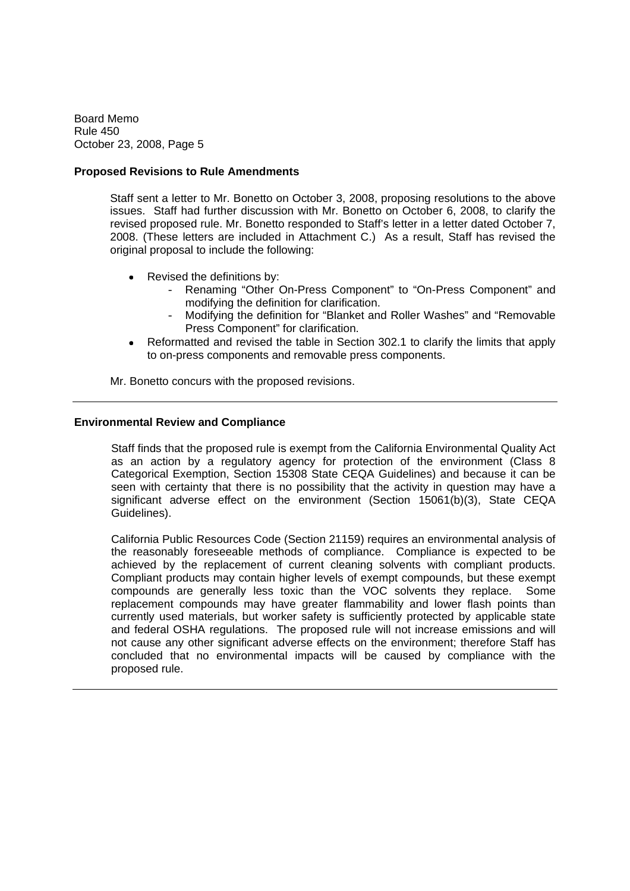## **Proposed Revisions to Rule Amendments**

Staff sent a letter to Mr. Bonetto on October 3, 2008, proposing resolutions to the above issues. Staff had further discussion with Mr. Bonetto on October 6, 2008, to clarify the revised proposed rule. Mr. Bonetto responded to Staff's letter in a letter dated October 7, 2008. (These letters are included in Attachment C.) As a result, Staff has revised the original proposal to include the following:

- Revised the definitions by:
	- Renaming "Other On-Press Component" to "On-Press Component" and modifying the definition for clarification.
	- Modifying the definition for "Blanket and Roller Washes" and "Removable Press Component" for clarification.
- Reformatted and revised the table in Section 302.1 to clarify the limits that apply to on-press components and removable press components.

Mr. Bonetto concurs with the proposed revisions.

# **Environmental Review and Compliance**

Staff finds that the proposed rule is exempt from the California Environmental Quality Act as an action by a regulatory agency for protection of the environment (Class 8 Categorical Exemption, Section 15308 State CEQA Guidelines) and because it can be seen with certainty that there is no possibility that the activity in question may have a significant adverse effect on the environment (Section 15061(b)(3), State CEQA Guidelines).

California Public Resources Code (Section 21159) requires an environmental analysis of the reasonably foreseeable methods of compliance. Compliance is expected to be achieved by the replacement of current cleaning solvents with compliant products. Compliant products may contain higher levels of exempt compounds, but these exempt compounds are generally less toxic than the VOC solvents they replace. Some replacement compounds may have greater flammability and lower flash points than currently used materials, but worker safety is sufficiently protected by applicable state and federal OSHA regulations. The proposed rule will not increase emissions and will not cause any other significant adverse effects on the environment; therefore Staff has concluded that no environmental impacts will be caused by compliance with the proposed rule.